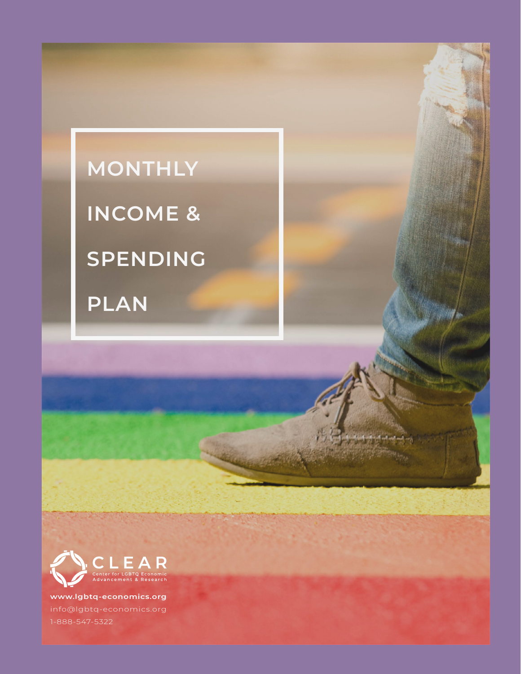## **MONTHLY**

**INCOME &** 

**SPENDING** 

**PLAN**



**www.lgbtq-economics.org** info@lgbtq-economics.org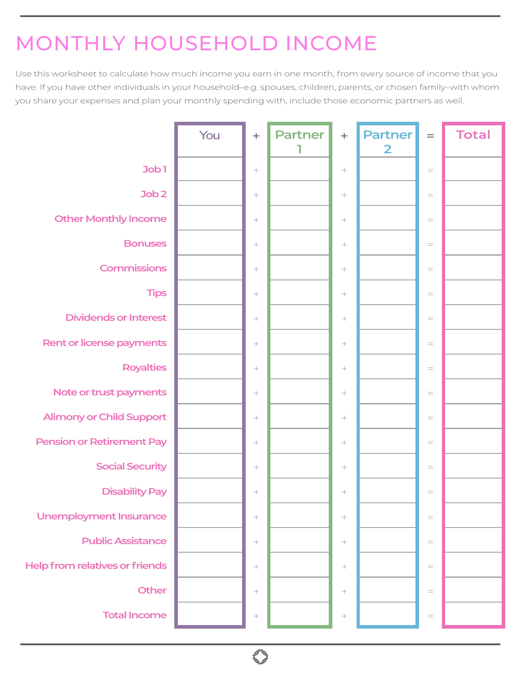## MONTHLY HOUSEHOLD INCOME

Use this worksheet to calculate how much income you earn in one month, from every source of income that you have. If you have other individuals in your household–e.g. spouses, children, parents, or chosen family–with whom you share your expenses and plan your monthly spending with, include those economic partners as well.

|                                       | You | $+$    | <b>Partner</b> | $\! + \!$ | <b>Partner</b><br>$\overline{\mathbf{2}}$ | $=$                                 | <b>Total</b> |
|---------------------------------------|-----|--------|----------------|-----------|-------------------------------------------|-------------------------------------|--------------|
| Job1                                  |     | $\! +$ |                | $\! +$    |                                           | $\equiv$                            |              |
| Job <sub>2</sub>                      |     |        |                |           |                                           | $\hspace*{0.4em} = \hspace*{0.4em}$ |              |
| <b>Other Monthly Income</b>           |     |        |                |           |                                           | $\hspace*{0.4em} = \hspace*{0.4em}$ |              |
| <b>Bonuses</b>                        |     | $^{+}$ |                |           |                                           | $\hspace*{0.4em} = \hspace*{0.4em}$ |              |
| <b>Commissions</b>                    |     | $\! +$ |                | $\! +$    |                                           | $=$                                 |              |
| <b>Tips</b>                           |     | $\! +$ |                | $\! +$    |                                           | $\hspace{1.6cm} = \hspace{1.6cm}$   |              |
| <b>Dividends or Interest</b>          |     | $\! +$ |                | $\! +$    |                                           | $\hspace*{0.4em} = \hspace*{0.4em}$ |              |
| Rent or license payments              |     | $\! +$ |                | $\! +$    |                                           | $=$                                 |              |
| <b>Royalties</b>                      |     |        |                |           |                                           | $=$                                 |              |
| Note or trust payments                |     |        |                | $\! +$    |                                           | $\hspace*{0.4em} = \hspace*{0.4em}$ |              |
| <b>Alimony or Child Support</b>       |     |        |                |           |                                           | $\hspace*{0.4em} = \hspace*{0.4em}$ |              |
| <b>Pension or Retirement Pay</b>      |     |        |                |           |                                           | $\hspace*{0.4em} = \hspace*{0.4em}$ |              |
| <b>Social Security</b>                |     | $\! +$ |                | $\! +$    |                                           | $=$                                 |              |
| <b>Disability Pay</b>                 |     |        |                | $\! +$    |                                           | $\hspace*{0.4em} = \hspace*{0.4em}$ |              |
| <b>Unemployment Insurance</b>         |     | $\! +$ |                | $\! +$    |                                           | $\hspace{1.6cm} = \hspace{1.6cm}$   |              |
| <b>Public Assistance</b>              |     |        |                |           |                                           | $\hspace*{0.4em} = \hspace*{0.4em}$ |              |
| <b>Help from relatives or friends</b> |     | $^{+}$ |                | $\! +$    |                                           | $\hspace{1.6cm} = \hspace{1.6cm}$   |              |
| Other                                 |     | $\! +$ |                | $\! +$    |                                           | $\hspace*{0.4em} = \hspace*{0.4em}$ |              |
| <b>Total Income</b>                   |     | $\! +$ |                | $\! +$    |                                           | $\hspace{1.6cm} = \hspace{1.6cm}$   |              |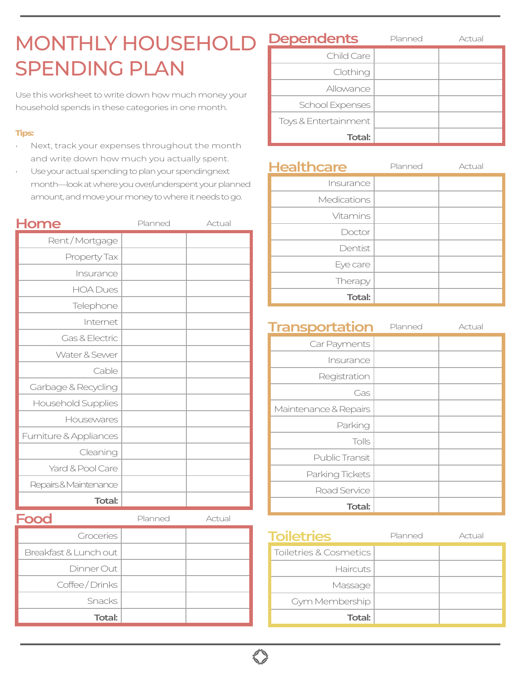## MONTHLY HOUSEHOLD SPENDING PLAN

Use this worksheet to write down how much money your household spends in these categories in one month.

## **Tips:**

- Next, track your expenses throughout the month and write down how much you actually spent.
- Use your actual spending to plan your spendingnext month—look at where you over/underspent your planned amount, and move your money to where it needs to go.

| Home                      | Planned | Actual |
|---------------------------|---------|--------|
| Rent/Mortgage             |         |        |
| Property Tax              |         |        |
| Insurance                 |         |        |
| <b>HOA Dues</b>           |         |        |
| Telephone                 |         |        |
| Internet                  |         |        |
| Gas & Electric            |         |        |
| Water & Sewer             |         |        |
| Cable                     |         |        |
| Garbage & Recycling       |         |        |
| <b>Household Supplies</b> |         |        |
| Housewares                |         |        |
| Furniture & Appliances    |         |        |
| Cleaning                  |         |        |
| Yard & Pool Care          |         |        |
| Repairs&Maintenance       |         |        |
| <b>Total:</b>             |         |        |
|                           | Planned | Actual |
| <b>HOOO</b>               |         |        |

| Groceries             |  |
|-----------------------|--|
| Breakfast & Lunch out |  |
| Dinner Out            |  |
| Coffee / Drinks       |  |
| Snacks                |  |
| <b>Total:</b>         |  |

| <b>Dependents</b>    | Planned | Actual |
|----------------------|---------|--------|
| Child Care           |         |        |
| Clothing             |         |        |
| Allowance            |         |        |
| School Expenses      |         |        |
| Toys & Entertainment |         |        |
| Total:               |         |        |

| <b>Healthcare</b> | Planned | Actual |
|-------------------|---------|--------|
| Insurance         |         |        |
| Medications       |         |        |
| Vitamins          |         |        |
| Doctor            |         |        |
| Dentist           |         |        |
| Eye care          |         |        |
| Therapy           |         |        |
| <b>Total:</b>     |         |        |

| <b>Transportation</b> | Planned | Actual |
|-----------------------|---------|--------|
| Car Payments          |         |        |
| Insurance             |         |        |
| Registration          |         |        |
| Gas                   |         |        |
| Maintenance & Repairs |         |        |
| Parking               |         |        |
| Tolls                 |         |        |
| Public Transit        |         |        |
| Parking Tickets       |         |        |
| Road Service          |         |        |
| Total:                |         |        |

| <b>Toiletries</b>      | Planned | Actual |
|------------------------|---------|--------|
| Toiletries & Cosmetics |         |        |
| <b>Haircuts</b>        |         |        |
| Massage                |         |        |
| Gym Membership         |         |        |
| <b>Total:</b>          |         |        |